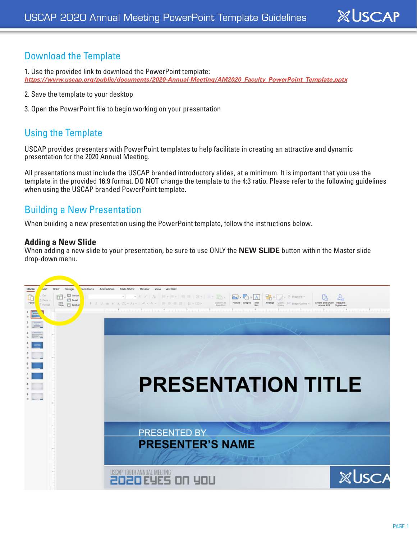# Download the Template

- 1. Use the provided link to download the PowerPoint template: *https://www.uscap.org/public/documents/2020-Annual-Meeting/AM2020\_Faculty\_PowerPoint\_Template.pptx*
- 2. Save the template to your desktop
- 3. Open the PowerPoint file to begin working on your presentation

### Using the Template

USCAP provides presenters with PowerPoint templates to help facilitate in creating an attractive and dynamic presentation for the 2020 Annual Meeting.

All presentations must include the USCAP branded introductory slides, at a minimum. It is important that you use the template in the provided 16:9 format. DO NOT change the template to the 4:3 ratio. Please refer to the following guidelines when using the USCAP branded PowerPoint template.

### Building a New Presentation

When building a new presentation using the PowerPoint template, follow the instructions below.

#### **Adding a New Slide**

When adding a new slide to your presentation, be sure to use ONLY the **NEW SLIDE** button within the Master slide drop-down menu.



**XUSCAP**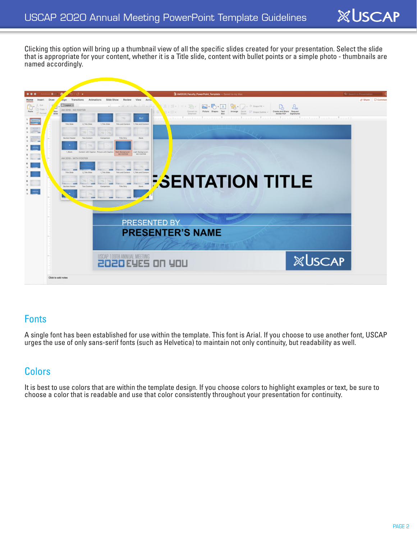Clicking this option will bring up a thumbnail view of all the specific slides created for your presentation. Select the slide that is appropriate for your content, whether it is a Title slide, content with bullet points or a simple photo - thumbnails are named accordingly.



### Fonts

A single font has been established for use within the template. This font is Arial. If you choose to use another font, USCAP urges the use of only sans-serif fonts (such as Helvetica) to maintain not only continuity, but readability as well.

# Colors

It is best to use colors that are within the template design. If you choose colors to highlight examples or text, be sure to choose a color that is readable and use that color consistently throughout your presentation for continuity.

**XUSCAP**